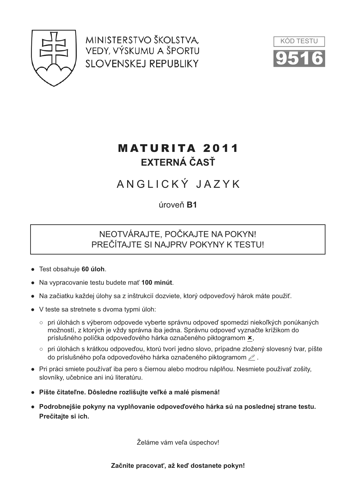

MINISTERSTVO ŠKOLSTVA. VEDY, VÝSKUMU A ŠPORTU **SLOVENSKEJ REPUBLIKY** 



# **MATURITA 2011 FXTFRNÁ ČASŤ**

# ANGLICKÝ JAZYK

úroveň **B1** 

## NEOTVÁRAJTE, POČKAJTE NA POKYN! PREČÍTAJTE SI NAJPRV POKYNY K TESTU!

- Test obsahuje 60 úloh.
- Na vypracovanie testu budete mať 100 minút.
- · Na začiatku každej úlohy sa z inštrukcií dozviete, ktorý odpoveďový hárok máte použiť.
- V teste sa stretnete s dvoma typmi úloh:
	- o pri úlohách s výberom odpovede vyberte správnu odpoveď spomedzi niekoľkých ponúkaných možností, z ktorých je vždy správna iba jedna. Správnu odpoveď vyznačte krížikom do príslušného políčka odpoveďového hárka označeného piktogramom x,
	- o pri úlohách s krátkou odpoveďou, ktorú tvorí jedno slovo, prípadne zložený slovesný tvar, píšte do príslušného poľa odpoveďového hárka označeného piktogramom  $\mathcal{P}$ .
- Pri práci smiete používať iba pero s čiernou alebo modrou náplňou. Nesmiete používať zošity, slovníky, učebnice ani inú literatúru.
- · Píšte čitateľne. Dôsledne rozlišujte veľké a malé písmená!
- · Podrobnejšie pokyny na vyplňovanie odpoveďového hárka sú na poslednej strane testu. Prečítajte si ich.

Želáme vám veľa úspechov!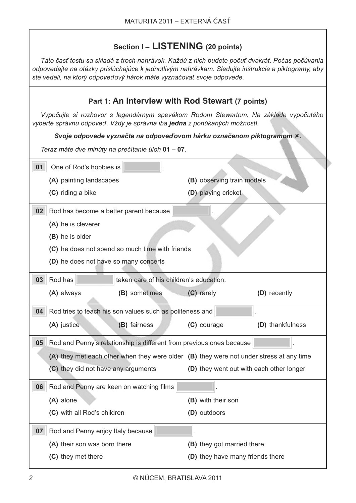## Section I - LISTENING (20 points)

Táto časť testu sa skladá z troch nahrávok. Každú z nich budete počuť dvakrát. Počas počúvania odpovedajte na otázky prislúchajúce k jednotlivým nahrávkam. Sledujte inštrukcie a piktogramy, aby ste vedeli, na ktorý odpoveďový hárok máte vyznačovať svoje odpovede.

| Part 1: An Interview with Rod Stewart (7 points)                                                                                                                 |                                                    |                                                                                         |                                          |                  |  |
|------------------------------------------------------------------------------------------------------------------------------------------------------------------|----------------------------------------------------|-----------------------------------------------------------------------------------------|------------------------------------------|------------------|--|
| Vypočujte si rozhovor s legendárnym spevákom Rodom Stewartom. Na základe vypočutého<br>vyberte správnu odpoveď. Vždy je správna iba jedna z ponúkaných možností. |                                                    |                                                                                         |                                          |                  |  |
|                                                                                                                                                                  |                                                    | Svoje odpovede vyznačte na odpoveďovom hárku označenom piktogramom ×.                   |                                          |                  |  |
|                                                                                                                                                                  |                                                    | Teraz máte dve minúty na prečítanie úloh 01 - 07.                                       |                                          |                  |  |
| 01                                                                                                                                                               | One of Rod's hobbies is                            |                                                                                         |                                          |                  |  |
|                                                                                                                                                                  | (A) painting landscapes                            |                                                                                         | (B) observing train models               |                  |  |
|                                                                                                                                                                  | (C) riding a bike                                  |                                                                                         | (D) playing cricket                      |                  |  |
|                                                                                                                                                                  | 02 Rod has become a better parent because          |                                                                                         |                                          |                  |  |
|                                                                                                                                                                  | (A) he is cleverer                                 |                                                                                         |                                          |                  |  |
|                                                                                                                                                                  | (B) he is older                                    |                                                                                         |                                          |                  |  |
|                                                                                                                                                                  | (C) he does not spend so much time with friends    |                                                                                         |                                          |                  |  |
|                                                                                                                                                                  | (D) he does not have so many concerts              |                                                                                         |                                          |                  |  |
| 03                                                                                                                                                               | Rod has<br>taken care of his children's education. |                                                                                         |                                          |                  |  |
|                                                                                                                                                                  | (A) always                                         | (B) sometimes                                                                           | (C) rarely                               | (D) recently     |  |
|                                                                                                                                                                  |                                                    | 04 Rod tries to teach his son values such as politeness and                             |                                          |                  |  |
|                                                                                                                                                                  | (A) justice                                        | (B) fairness                                                                            | (C) courage                              | (D) thankfulness |  |
| 05 <sub>1</sub>                                                                                                                                                  |                                                    | Rod and Penny's relationship is different from previous ones because                    |                                          |                  |  |
|                                                                                                                                                                  |                                                    | (A) they met each other when they were older (B) they were not under stress at any time |                                          |                  |  |
|                                                                                                                                                                  | (C) they did not have any arguments                |                                                                                         | (D) they went out with each other longer |                  |  |
| 06                                                                                                                                                               | Rod and Penny are keen on watching films           |                                                                                         |                                          |                  |  |
|                                                                                                                                                                  | (A) alone                                          |                                                                                         | (B) with their son                       |                  |  |
|                                                                                                                                                                  | (C) with all Rod's children                        |                                                                                         | (D) outdoors                             |                  |  |
| 07                                                                                                                                                               | Rod and Penny enjoy Italy because                  |                                                                                         |                                          |                  |  |
|                                                                                                                                                                  | (A) their son was born there                       |                                                                                         | (B) they got married there               |                  |  |
|                                                                                                                                                                  | (C) they met there                                 |                                                                                         | (D) they have many friends there         |                  |  |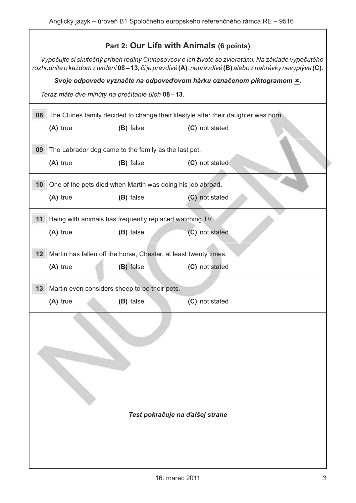## Part 2: Our Life with Animals (6 points)

Vypočujte si skutočný príbeh rodiny Clunesovcov o ich živote so zvieratami. Na základe vypočutého rozhodnite o každom z tvrdení 08 – 13, či je pravdivé (A), nepravdivé (B) alebo z nahrávky nevyplýva (C).

#### Svoje odpovede vyznačte na odpoveďovom hárku označenom piktogramom x.

Teraz máte dve minúty na prečítanie úloh 08-13.

| (A) true                        | (B) false                                                        | (C) not stated |  |  |  |
|---------------------------------|------------------------------------------------------------------|----------------|--|--|--|
| 09                              | The Labrador dog came to the family as the last pet.             |                |  |  |  |
| (A) true                        | (B) false                                                        | (C) not stated |  |  |  |
| 10                              | One of the pets died when Martin was doing his job abroad.       |                |  |  |  |
| (A) true                        | (B) false                                                        | (C) not stated |  |  |  |
| 11                              | Being with animals has frequently replaced watching TV.          |                |  |  |  |
| (A) true                        | (B) false                                                        | (C) not stated |  |  |  |
| 12                              | Martin has fallen off the horse, Chester, at least twenty times. |                |  |  |  |
| (A) true                        | (B) false                                                        | (C) not stated |  |  |  |
| 13                              | Martin even considers sheep to be their pets.                    |                |  |  |  |
| (A) true                        | (B) false                                                        | (C) not stated |  |  |  |
|                                 |                                                                  |                |  |  |  |
| Test pokračuje na ďalšej strane |                                                                  |                |  |  |  |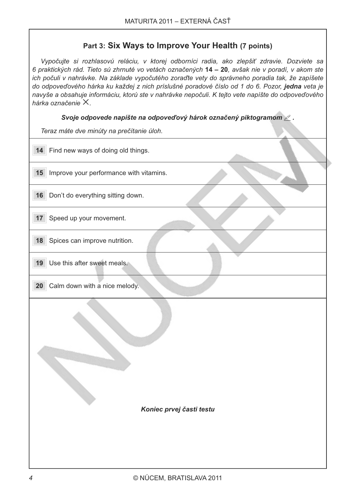## Part 3: Six Ways to Improve Your Health (7 points)

Vypočujte si rozhlasovú reláciu, v ktorej odborníci radia, ako zlepšiť zdravie. Dozviete sa 6 praktických rád. Tieto sú zhrnuté vo vetách označených 14 – 20. avšak nie v poradí, v akom ste ich počuli v nahrávke. Na základe vypočutého zoraďte vety do správneho poradia tak, že zapíšete do odpoveďového hárka ku každej z nich príslušné poradové číslo od 1 do 6. Pozor, jedna veta je navyše a obsahuje informáciu, ktorú ste v nahrávke nepočuli. K tejto vete napíšte do odpoveďového hárka označenie  $X$ .

Svoje odpovede napíšte na odpoveďový hárok označený piktogramom  $\ell$ .

Teraz máte dve minúty na prečítanie úloh

| $\ldots$ and $\ldots$ $\ldots$ . $\ldots$ and $\ldots$ are $\ldots$ and $\ldots$ |  |  |  |
|----------------------------------------------------------------------------------|--|--|--|
| Find new ways of doing old things.<br>14                                         |  |  |  |
| 15<br>Improve your performance with vitamins.                                    |  |  |  |
| 16 Don't do everything sitting down.                                             |  |  |  |
| Speed up your movement.<br>17                                                    |  |  |  |
| Spices can improve nutrition.<br>18                                              |  |  |  |
| Use this after sweet meals.<br>19                                                |  |  |  |
| Calm down with a nice melody.<br>20                                              |  |  |  |
|                                                                                  |  |  |  |
|                                                                                  |  |  |  |
|                                                                                  |  |  |  |
| Koniec prvej časti testu                                                         |  |  |  |
|                                                                                  |  |  |  |
|                                                                                  |  |  |  |
|                                                                                  |  |  |  |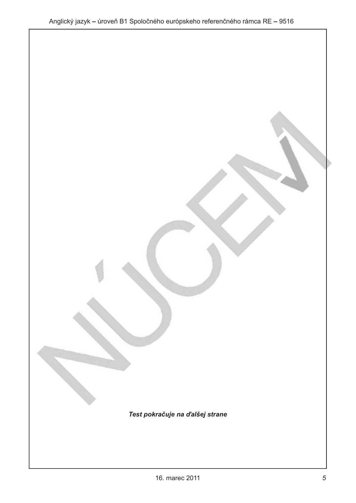Test pokračuje na ďalšej strane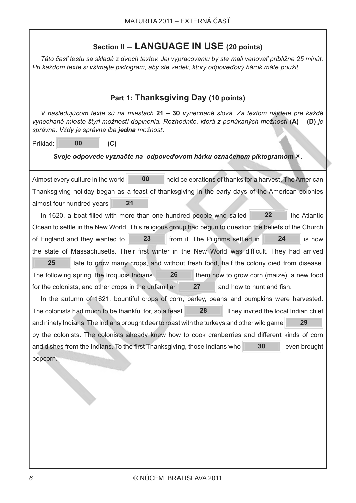## Section II - LANGUAGE IN USE (20 points)

Táto časť testu sa skladá z dvoch textov. Jej vypracovaniu by ste mali venovať približne 25 minút. Pri každom texte si všímajte piktogram, aby ste vedeli, ktorý odpoveďový hárok máte použiť.

| Part 1: Thanksgiving Day (10 points)                                                                                                                                                                                                         |  |  |  |  |
|----------------------------------------------------------------------------------------------------------------------------------------------------------------------------------------------------------------------------------------------|--|--|--|--|
| V nasledujúcom texte sú na miestach 21 – 30 vynechané slová. Za textom nájdete pre každé<br>vynechané miesto štyri možnosti doplnenia. Rozhodnite, ktorá z ponúkaných možností $(A) - (D)$ je<br>správna. Vždy je správna iba jedna možnosť. |  |  |  |  |
| 00<br>Príklad:<br>$-(C)$                                                                                                                                                                                                                     |  |  |  |  |
| Svoje odpovede vyznačte na odpoveďovom hárku označenom piktogramom ×.                                                                                                                                                                        |  |  |  |  |
|                                                                                                                                                                                                                                              |  |  |  |  |
| 00<br>Almost every culture in the world<br>held celebrations of thanks for a harvest. The American                                                                                                                                           |  |  |  |  |
| Thanksgiving holiday began as a feast of thanksgiving in the early days of the American colonies                                                                                                                                             |  |  |  |  |
| 21<br>almost four hundred years                                                                                                                                                                                                              |  |  |  |  |
| 22<br>In 1620, a boat filled with more than one hundred people who sailed<br>the Atlantic                                                                                                                                                    |  |  |  |  |
| Ocean to settle in the New World. This religious group had begun to question the beliefs of the Church                                                                                                                                       |  |  |  |  |
| 23<br>24<br>of England and they wanted to<br>from it. The Pilgrims settled in<br>is now                                                                                                                                                      |  |  |  |  |
| the state of Massachusetts. Their first winter in the New World was difficult. They had arrived                                                                                                                                              |  |  |  |  |
| 25<br>late to grow many crops, and without fresh food, half the colony died from disease.                                                                                                                                                    |  |  |  |  |
| 26<br>The following spring, the Iroquois Indians<br>them how to grow corn (maize), a new food                                                                                                                                                |  |  |  |  |
| 27<br>for the colonists, and other crops in the unfamiliar<br>and how to hunt and fish.                                                                                                                                                      |  |  |  |  |
| In the autumn of 1621, bountiful crops of corn, barley, beans and pumpkins were harvested.                                                                                                                                                   |  |  |  |  |
| 28<br>The colonists had much to be thankful for, so a feast<br>. They invited the local Indian chief                                                                                                                                         |  |  |  |  |
| 29<br>and ninety Indians. The Indians brought deer to roast with the turkeys and other wild game                                                                                                                                             |  |  |  |  |
| by the colonists. The colonists already knew how to cook cranberries and different kinds of corn                                                                                                                                             |  |  |  |  |
| and dishes from the Indians. To the first Thanksgiving, those Indians who<br>30<br>, even brought                                                                                                                                            |  |  |  |  |
| popcorn.                                                                                                                                                                                                                                     |  |  |  |  |
|                                                                                                                                                                                                                                              |  |  |  |  |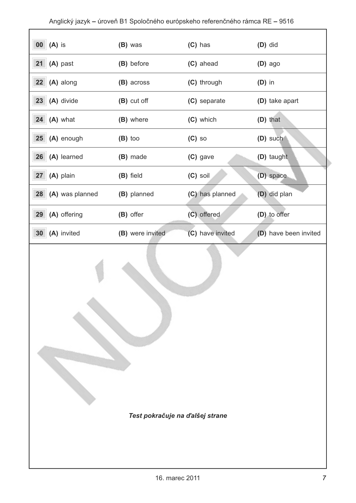| $00$ $(A)$ is                  | (B) was          | $(C)$ has        | $(D)$ did             |
|--------------------------------|------------------|------------------|-----------------------|
| (A) past<br>21                 | (B) before       | (C) ahead        | $(D)$ ago             |
| 22<br>(A) along                | (B) across       | (C) through      | $(D)$ in              |
| 23<br>(A) divide               | (B) cut off      | (C) separate     | (D) take apart        |
| $24$ (A) what                  | (B) where        | (C) which        | (D) that              |
| $25$ (A) enough                | $(B)$ too        | $(C)$ so         | (D) such              |
| 26<br>(A) learned              | (B) made         | (C) gave         | (D) taught            |
| (A) plain<br>27                | (B) field        | (C) soil         | (D) space             |
| (A) was planned<br>28          | (B) planned      | (C) has planned  | (D) did plan          |
| 29<br>(A) offering             | (B) offer        | (C) offered      | (D) to offer          |
| 30 <sup>°</sup><br>(A) invited | (B) were invited | (C) have invited | (D) have been invited |

Test pokračuje na ďalšej strane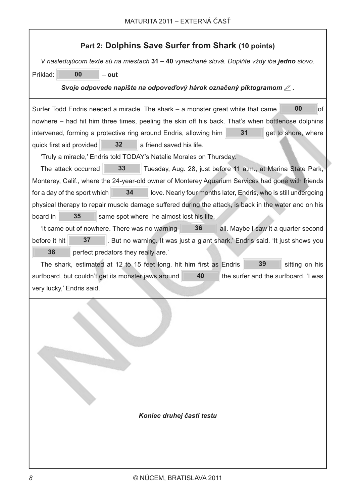| Part 2: Dolphins Save Surfer from Shark (10 points)                                                                                                                                                                                                                                                                                                                                                                                                                                                                                                                                                                                                                                                                                                                                                                                                                                                                                                                                                                                                                                                                                    |  |  |  |  |
|----------------------------------------------------------------------------------------------------------------------------------------------------------------------------------------------------------------------------------------------------------------------------------------------------------------------------------------------------------------------------------------------------------------------------------------------------------------------------------------------------------------------------------------------------------------------------------------------------------------------------------------------------------------------------------------------------------------------------------------------------------------------------------------------------------------------------------------------------------------------------------------------------------------------------------------------------------------------------------------------------------------------------------------------------------------------------------------------------------------------------------------|--|--|--|--|
| V nasledujúcom texte sú na miestach 31 – 40 vynechané slová. Doplňte vždy iba jedno slovo.                                                                                                                                                                                                                                                                                                                                                                                                                                                                                                                                                                                                                                                                                                                                                                                                                                                                                                                                                                                                                                             |  |  |  |  |
| 00<br>Príklad:<br>$-$ out                                                                                                                                                                                                                                                                                                                                                                                                                                                                                                                                                                                                                                                                                                                                                                                                                                                                                                                                                                                                                                                                                                              |  |  |  |  |
| Svoje odpovede napíšte na odpoveďový hárok označený piktogramom $\mathcal{\angle}$ .                                                                                                                                                                                                                                                                                                                                                                                                                                                                                                                                                                                                                                                                                                                                                                                                                                                                                                                                                                                                                                                   |  |  |  |  |
| 00<br>Surfer Todd Endris needed a miracle. The shark – a monster great white that came<br>οf<br>nowhere – had hit him three times, peeling the skin off his back. That's when bottlenose dolphins<br>31<br>intervened, forming a protective ring around Endris, allowing him<br>get to shore, where<br>32<br>a friend saved his life.<br>quick first aid provided<br>'Truly a miracle,' Endris told TODAY's Natalie Morales on Thursday.<br>33<br>The attack occurred<br>Tuesday, Aug. 28, just before 11 a.m., at Marina State Park,<br>Monterey, Calif., where the 24-year-old owner of Monterey Aquarium Services had gone with friends<br>34<br>for a day of the sport which<br>love. Nearly four months later, Endris, who is still undergoing<br>physical therapy to repair muscle damage suffered during the attack, is back in the water and on his<br>35<br>board in<br>same spot where he almost lost his life.<br>36<br>'It came out of nowhere. There was no warning<br>all. Maybe I saw it a quarter second<br>before it hit<br>37<br>. But no warning. It was just a giant shark,' Endris said. 'It just shows you<br>38 |  |  |  |  |
| perfect predators they really are.'<br>39<br>The shark, estimated at 12 to 15 feet long, hit him first as Endris<br>sitting on his                                                                                                                                                                                                                                                                                                                                                                                                                                                                                                                                                                                                                                                                                                                                                                                                                                                                                                                                                                                                     |  |  |  |  |
| 40<br>surfboard, but couldn't get its monster jaws around<br>the surfer and the surfboard. 'I was                                                                                                                                                                                                                                                                                                                                                                                                                                                                                                                                                                                                                                                                                                                                                                                                                                                                                                                                                                                                                                      |  |  |  |  |
| very lucky,' Endris said.                                                                                                                                                                                                                                                                                                                                                                                                                                                                                                                                                                                                                                                                                                                                                                                                                                                                                                                                                                                                                                                                                                              |  |  |  |  |
| Koniec druhej časti testu                                                                                                                                                                                                                                                                                                                                                                                                                                                                                                                                                                                                                                                                                                                                                                                                                                                                                                                                                                                                                                                                                                              |  |  |  |  |
|                                                                                                                                                                                                                                                                                                                                                                                                                                                                                                                                                                                                                                                                                                                                                                                                                                                                                                                                                                                                                                                                                                                                        |  |  |  |  |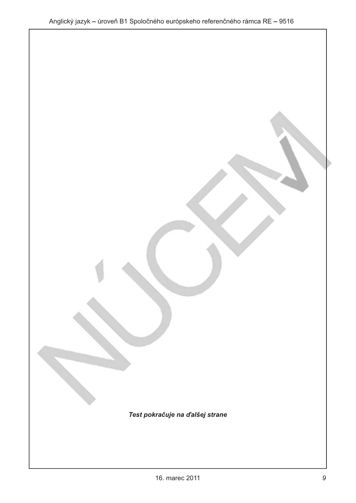Test pokračuje na ďalšej strane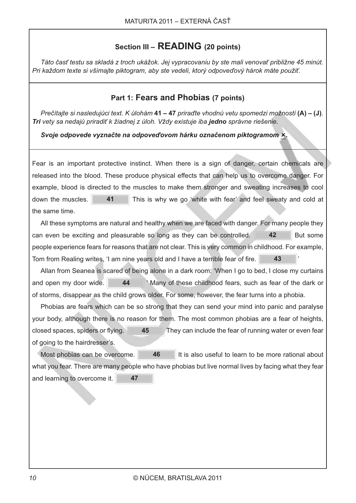## Section III - READING (20 points)

Táto časť testu sa skladá z troch ukážok. Jej vypracovaniu by ste mali venovať približne 45 minút. Pri každom texte si všímajte piktogram, aby ste vedeli, ktorý odpoveďový hárok máte použiť.

### Part 1: Fears and Phobias (7 points)

Prečítajte si nasledujúci text. K úlohám 41 – 47 priraďte vhodnú vetu spomedzi možností (A) – (J). Tri vety sa nedajú priradiť k žiadnej z úloh. Vždy existuje iba jedno správne riešenie.

#### Svoje odpovede vyznačte na odpoveďovom hárku označenom piktogramom ×.

Fear is an important protective instinct. When there is a sign of danger, certain chemicals are released into the blood. These produce physical effects that can help us to overcome danger. For example, blood is directed to the muscles to make them stronger and sweating increases to cool down the muscles. 41 This is why we go 'white with fear' and feel sweaty and cold at the same time.

All these symptoms are natural and healthy when we are faced with danger. For many people they can even be exciting and pleasurable so long as they can be controlled. 42 But some people experience fears for reasons that are not clear. This is very common in childhood. For example, Tom from Realing writes. 'I am nine years old and I have a terrible fear of fire. 43

Allan from Seanea is scared of being alone in a dark room: 'When I go to bed, I close my curtains 44 ' Many of these childhood fears, such as fear of the dark or and open my door wide. of storms, disappear as the child grows older. For some, however, the fear turns into a phobia.

Phobias are fears which can be so strong that they can send your mind into panic and paralyse your body, although there is no reason for them. The most common phobias are a fear of heights, closed spaces, spiders or flying. 45 They can include the fear of running water or even fear of going to the hairdresser's.

46 Most phobias can be overcome. It is also useful to learn to be more rational about what you fear. There are many people who have phobias but live normal lives by facing what they fear and learning to overcome it. 47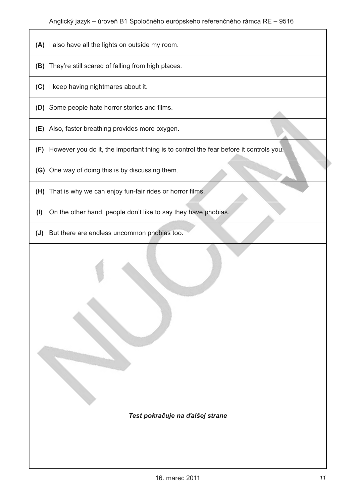- (A) I also have all the lights on outside my room.
- (B) They're still scared of falling from high places.
- (C) I keep having nightmares about it.
- (D) Some people hate horror stories and films.
- (E) Also, faster breathing provides more oxygen.
- (F) However you do it, the important thing is to control the fear before it controls you.
- (G) One way of doing this is by discussing them.
- (H) That is why we can enjoy fun-fair rides or horror films.
- (I) On the other hand, people don't like to say they have phobias.
- (J) But there are endless uncommon phobias too.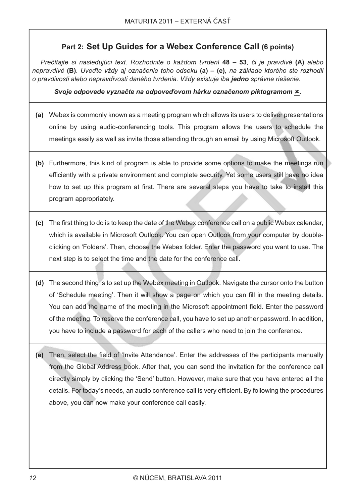## Part 2: Set Up Guides for a Webex Conference Call (6 points)

Prečítajte si nasledujúci text. Rozhodnite o každom tvrdení 48 – 53, či je pravdivé (A) alebo nepravdivé (B). Uveďte vždy aj označenie toho odseku (a) – (e), na základe ktorého ste rozhodli o pravdivosti alebo nepravdivosti daného tvrdenia. Vždy existuje iba jedno správne riešenie.

#### Svoje odpovede vyznačte na odpoveďovom hárku označenom piktogramom ×.

- (a) Webex is commonly known as a meeting program which allows its users to deliver presentations online by using audio-conferencing tools. This program allows the users to schedule the meetings easily as well as invite those attending through an email by using Microsoft Outlook.
- (b) Furthermore, this kind of program is able to provide some options to make the meetings run efficiently with a private environment and complete security. Yet some users still have no idea how to set up this program at first. There are several steps you have to take to install this program appropriately.
- (c) The first thing to do is to keep the date of the Webex conference call on a public Webex calendar, which is available in Microsoft Outlook. You can open Outlook from your computer by doubleclicking on 'Folders'. Then, choose the Webex folder. Enter the password you want to use. The next step is to select the time and the date for the conference call.
- (d) The second thing is to set up the Webex meeting in Outlook. Navigate the cursor onto the button of 'Schedule meeting'. Then it will show a page on which you can fill in the meeting details. You can add the name of the meeting in the Microsoft appointment field. Enter the password of the meeting. To reserve the conference call, you have to set up another password. In addition, you have to include a password for each of the callers who need to join the conference.
- (e) Then, select the field of 'Invite Attendance'. Enter the addresses of the participants manually from the Global Address book. After that, you can send the invitation for the conference call directly simply by clicking the 'Send' button. However, make sure that you have entered all the details. For today's needs, an audio conference call is very efficient. By following the procedures above, you can now make your conference call easily.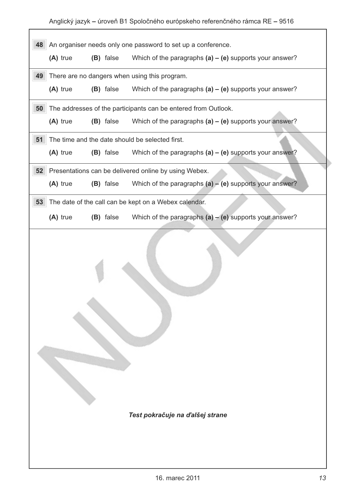Anglický jazyk – úroveň B1 Spoločného európskeho referenčného rámca RE – 9516

| An organiser needs only one password to set up a conference.<br>48<br>(A) true<br>Which of the paragraphs $(a) - (e)$ supports your answer?<br>(B) false<br>There are no dangers when using this program.<br>49<br>Which of the paragraphs $(a) - (e)$ supports your answer?<br>$(A)$ true<br>(B) false<br>The addresses of the participants can be entered from Outlook.<br>50<br>(A) true<br>(B) false<br>Which of the paragraphs $(a) - (e)$ supports your answer?<br>51<br>The time and the date should be selected first.<br>Which of the paragraphs $(a) - (e)$ supports your answer?<br>(A) true<br>(B) false<br>52<br>Presentations can be delivered online by using Webex.<br>Which of the paragraphs $(a) - (e)$ supports your answer?<br>(A) true<br>(B) false<br>53<br>The date of the call can be kept on a Webex calendar.<br>Which of the paragraphs $(a) - (e)$ supports your answer?<br>$(A)$ true<br>(B) false |  |  |  |  |  |
|----------------------------------------------------------------------------------------------------------------------------------------------------------------------------------------------------------------------------------------------------------------------------------------------------------------------------------------------------------------------------------------------------------------------------------------------------------------------------------------------------------------------------------------------------------------------------------------------------------------------------------------------------------------------------------------------------------------------------------------------------------------------------------------------------------------------------------------------------------------------------------------------------------------------------------|--|--|--|--|--|
|                                                                                                                                                                                                                                                                                                                                                                                                                                                                                                                                                                                                                                                                                                                                                                                                                                                                                                                                  |  |  |  |  |  |
|                                                                                                                                                                                                                                                                                                                                                                                                                                                                                                                                                                                                                                                                                                                                                                                                                                                                                                                                  |  |  |  |  |  |
|                                                                                                                                                                                                                                                                                                                                                                                                                                                                                                                                                                                                                                                                                                                                                                                                                                                                                                                                  |  |  |  |  |  |
|                                                                                                                                                                                                                                                                                                                                                                                                                                                                                                                                                                                                                                                                                                                                                                                                                                                                                                                                  |  |  |  |  |  |
|                                                                                                                                                                                                                                                                                                                                                                                                                                                                                                                                                                                                                                                                                                                                                                                                                                                                                                                                  |  |  |  |  |  |
|                                                                                                                                                                                                                                                                                                                                                                                                                                                                                                                                                                                                                                                                                                                                                                                                                                                                                                                                  |  |  |  |  |  |
|                                                                                                                                                                                                                                                                                                                                                                                                                                                                                                                                                                                                                                                                                                                                                                                                                                                                                                                                  |  |  |  |  |  |
|                                                                                                                                                                                                                                                                                                                                                                                                                                                                                                                                                                                                                                                                                                                                                                                                                                                                                                                                  |  |  |  |  |  |
|                                                                                                                                                                                                                                                                                                                                                                                                                                                                                                                                                                                                                                                                                                                                                                                                                                                                                                                                  |  |  |  |  |  |
|                                                                                                                                                                                                                                                                                                                                                                                                                                                                                                                                                                                                                                                                                                                                                                                                                                                                                                                                  |  |  |  |  |  |
|                                                                                                                                                                                                                                                                                                                                                                                                                                                                                                                                                                                                                                                                                                                                                                                                                                                                                                                                  |  |  |  |  |  |
|                                                                                                                                                                                                                                                                                                                                                                                                                                                                                                                                                                                                                                                                                                                                                                                                                                                                                                                                  |  |  |  |  |  |
| Test pokračuje na ďalšej strane                                                                                                                                                                                                                                                                                                                                                                                                                                                                                                                                                                                                                                                                                                                                                                                                                                                                                                  |  |  |  |  |  |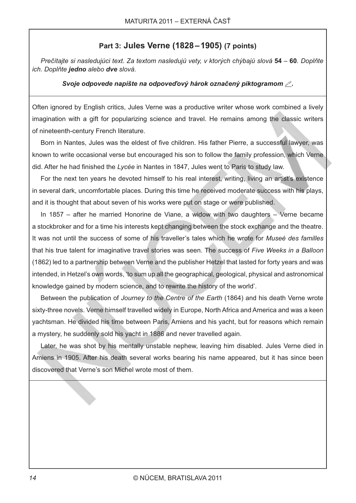### Part 3: Jules Verne (1828-1905) (7 points)

Prečítajte si nasledujúci text. Za textom nasledujú vety, v ktorých chýbajú slová 54 - 60. Doplňte ich. Doplňte jedno alebo dve slová.

#### Svoje odpovede napíšte na odpoveďový hárok označený piktogramom  $\mathbb{Z}$ .

Often ignored by English critics, Jules Verne was a productive writer whose work combined a lively imagination with a gift for popularizing science and travel. He remains among the classic writers of nineteenth-century French literature.

Born in Nantes, Jules was the eldest of five children. His father Pierre, a successful lawyer, was known to write occasional verse but encouraged his son to follow the family profession, which Verne did. After he had finished the Lycée in Nantes in 1847, Jules went to Paris to study law.

For the next ten years he devoted himself to his real interest, writing, living an artist's existence in several dark, uncomfortable places. During this time he received moderate success with his plays, and it is thought that about seven of his works were put on stage or were published.

In 1857 – after he married Honorine de Viane, a widow with two daughters  $-$  Verne became a stockbroker and for a time his interests kept changing between the stock exchange and the theatre. It was not until the success of some of his traveller's tales which he wrote for Museé des familles that his true talent for imaginative travel stories was seen. The success of Five Weeks in a Balloon (1862) led to a partnership between Verne and the publisher Hetzel that lasted for forty years and was intended, in Hetzel's own words, 'to sum up all the geographical, geological, physical and astronomical knowledge gained by modern science, and to rewrite the history of the world'.

Between the publication of Journey to the Centre of the Earth (1864) and his death Verne wrote sixty-three novels. Verne himself travelled widely in Europe, North Africa and America and was a keen yachtsman. He divided his time between Paris, Amiens and his yacht, but for reasons which remain a mystery, he suddenly sold his yacht in 1886 and never travelled again.

Later, he was shot by his mentally unstable nephew, leaving him disabled. Jules Verne died in Amiens in 1905. After his death several works bearing his name appeared, but it has since been discovered that Verne's son Michel wrote most of them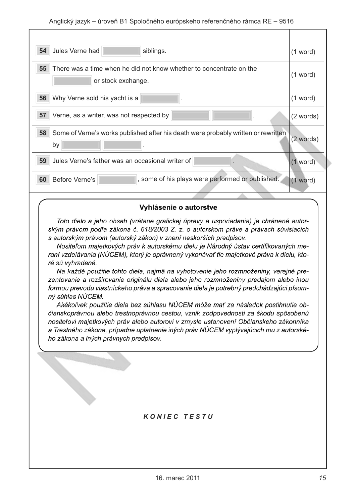| Jules Verne had<br>54<br>siblings.                                                              | $(1$ word) |
|-------------------------------------------------------------------------------------------------|------------|
| 55<br>There was a time when he did not know whether to concentrate on the<br>or stock exchange. | $(1$ word) |
| 56<br>Why Verne sold his yacht is a                                                             | $(1$ word) |
| 57<br>Verne, as a writer, was not respected by                                                  | (2 words)  |
| 58<br>Some of Verne's works published after his death were probably written or rewritten<br>by  | (2 words)  |
| 59 Jules Verne's father was an occasional writer of                                             | $(1$ word) |
| , some of his plays were performed or published.<br>Before Verne's<br>60                        | $(1$ word) |
|                                                                                                 |            |

#### Vyhlásenie o autorstve

Toto dielo a jeho obsah (vrátane grafickej úpravy a usporiadania) je chránené autorským právom podľa zákona č. 618/2003 Z. z. o autorskom práve a právach súvisiacich s autorským právom (autorský zákon) v znení neskorších predpisov.

Nositeľom majetkových práv k autorskému dielu je Národný ústav certifikovaných meraní vzdelávania (NÚCEM), ktorý je oprávnený vykonávať tie majetkové práva k dielu, ktoré sú vyhradené.

Na každé použitie tohto diela, najmä na vyhotovenie jeho rozmnoženiny, verejné prezentovanie a rozširovanie originálu diela alebo jeho rozmnoženiny predajom alebo inou formou prevodu vlastníckeho práva a spracovanie diela je potrebný predchádzajúci písomný súhlas NÚCEM.

Akékoľvek použitie diela bez súhlasu NÚCEM môže mať za následok postihnutie občianskoprávnou alebo trestnoprávnou cestou, vznik zodpovednosti za škodu spôsobenú nositeľovi majetkových práv alebo autorovi v zmysle ustanovení Občianskeho zákonníka a Trestného zákona, prípadne uplatnenie iných práv NÚCEM vyplývajúcich mu z autorského zákona a iných právnych predpisov.

#### **KONIEC TESTU**